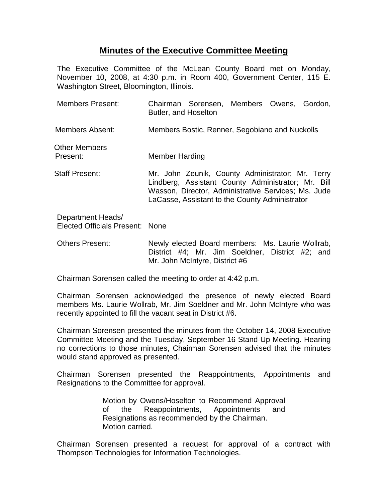## **Minutes of the Executive Committee Meeting**

The Executive Committee of the McLean County Board met on Monday, November 10, 2008, at 4:30 p.m. in Room 400, Government Center, 115 E. Washington Street, Bloomington, Illinois.

| <b>Members Present:</b>                              | Chairman Sorensen, Members Owens, Gordon,<br>Butler, and Hoselton                                                                                                                                               |
|------------------------------------------------------|-----------------------------------------------------------------------------------------------------------------------------------------------------------------------------------------------------------------|
| Members Absent:                                      | Members Bostic, Renner, Segobiano and Nuckolls                                                                                                                                                                  |
| Other Members<br>Present:                            | Member Harding                                                                                                                                                                                                  |
| <b>Staff Present:</b>                                | Mr. John Zeunik, County Administrator; Mr. Terry<br>Lindberg, Assistant County Administrator; Mr. Bill<br>Wasson, Director, Administrative Services; Ms. Jude<br>LaCasse, Assistant to the County Administrator |
| Department Heads/<br>Elected Officials Present: None |                                                                                                                                                                                                                 |

Others Present: Newly elected Board members: Ms. Laurie Wollrab, District #4; Mr. Jim Soeldner, District #2; and Mr. John McIntyre, District #6

Chairman Sorensen called the meeting to order at 4:42 p.m.

Chairman Sorensen acknowledged the presence of newly elected Board members Ms. Laurie Wollrab, Mr. Jim Soeldner and Mr. John McIntyre who was recently appointed to fill the vacant seat in District #6.

Chairman Sorensen presented the minutes from the October 14, 2008 Executive Committee Meeting and the Tuesday, September 16 Stand-Up Meeting. Hearing no corrections to those minutes, Chairman Sorensen advised that the minutes would stand approved as presented.

Chairman Sorensen presented the Reappointments, Appointments and Resignations to the Committee for approval.

> Motion by Owens/Hoselton to Recommend Approval of the Reappointments, Appointments and Resignations as recommended by the Chairman. Motion carried.

Chairman Sorensen presented a request for approval of a contract with Thompson Technologies for Information Technologies.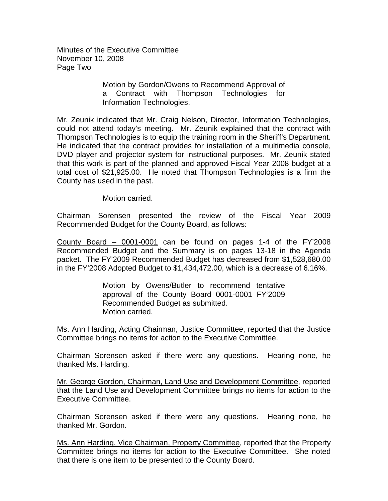Minutes of the Executive Committee November 10, 2008 Page Two

> Motion by Gordon/Owens to Recommend Approval of a Contract with Thompson Technologies for Information Technologies.

Mr. Zeunik indicated that Mr. Craig Nelson, Director, Information Technologies, could not attend today's meeting. Mr. Zeunik explained that the contract with Thompson Technologies is to equip the training room in the Sheriff's Department. He indicated that the contract provides for installation of a multimedia console, DVD player and projector system for instructional purposes. Mr. Zeunik stated that this work is part of the planned and approved Fiscal Year 2008 budget at a total cost of \$21,925.00. He noted that Thompson Technologies is a firm the County has used in the past.

Motion carried.

Chairman Sorensen presented the review of the Fiscal Year 2009 Recommended Budget for the County Board, as follows:

County Board – 0001-0001 can be found on pages 1-4 of the FY'2008 Recommended Budget and the Summary is on pages 13-18 in the Agenda packet. The FY'2009 Recommended Budget has decreased from \$1,528,680.00 in the FY'2008 Adopted Budget to \$1,434,472.00, which is a decrease of 6.16%.

> Motion by Owens/Butler to recommend tentative approval of the County Board 0001-0001 FY'2009 Recommended Budget as submitted. Motion carried.

Ms. Ann Harding, Acting Chairman, Justice Committee, reported that the Justice Committee brings no items for action to the Executive Committee.

Chairman Sorensen asked if there were any questions. Hearing none, he thanked Ms. Harding.

Mr. George Gordon, Chairman, Land Use and Development Committee, reported that the Land Use and Development Committee brings no items for action to the Executive Committee.

Chairman Sorensen asked if there were any questions. Hearing none, he thanked Mr. Gordon.

Ms. Ann Harding, Vice Chairman, Property Committee, reported that the Property Committee brings no items for action to the Executive Committee. She noted that there is one item to be presented to the County Board.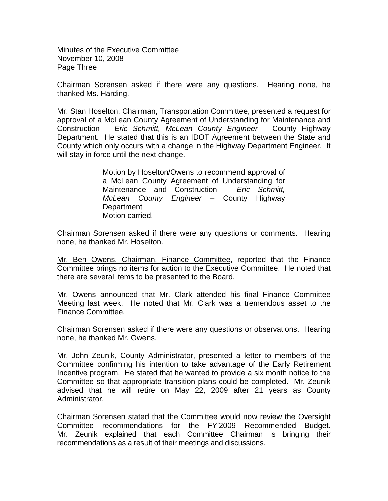Minutes of the Executive Committee November 10, 2008 Page Three

Chairman Sorensen asked if there were any questions. Hearing none, he thanked Ms. Harding.

Mr. Stan Hoselton, Chairman, Transportation Committee, presented a request for approval of a McLean County Agreement of Understanding for Maintenance and Construction – *Eric Schmitt, McLean County Engineer* – County Highway Department. He stated that this is an IDOT Agreement between the State and County which only occurs with a change in the Highway Department Engineer. It will stay in force until the next change.

> Motion by Hoselton/Owens to recommend approval of a McLean County Agreement of Understanding for Maintenance and Construction – *Eric Schmitt, McLean County Engineer* – County Highway **Department** Motion carried.

Chairman Sorensen asked if there were any questions or comments. Hearing none, he thanked Mr. Hoselton.

Mr. Ben Owens, Chairman, Finance Committee, reported that the Finance Committee brings no items for action to the Executive Committee. He noted that there are several items to be presented to the Board.

Mr. Owens announced that Mr. Clark attended his final Finance Committee Meeting last week. He noted that Mr. Clark was a tremendous asset to the Finance Committee.

Chairman Sorensen asked if there were any questions or observations. Hearing none, he thanked Mr. Owens.

Mr. John Zeunik, County Administrator, presented a letter to members of the Committee confirming his intention to take advantage of the Early Retirement Incentive program. He stated that he wanted to provide a six month notice to the Committee so that appropriate transition plans could be completed. Mr. Zeunik advised that he will retire on May 22, 2009 after 21 years as County Administrator.

Chairman Sorensen stated that the Committee would now review the Oversight Committee recommendations for the FY'2009 Recommended Budget.Mr. Zeunik explained that each Committee Chairman is bringing their recommendations as a result of their meetings and discussions.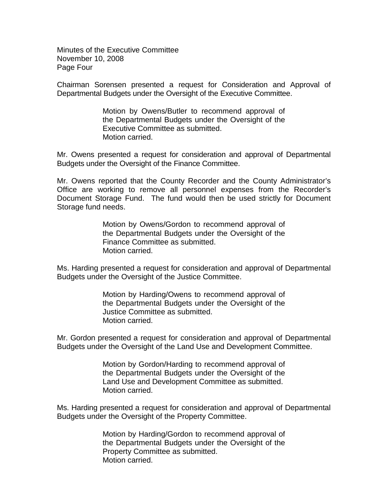Minutes of the Executive Committee November 10, 2008 Page Four

Chairman Sorensen presented a request for Consideration and Approval of Departmental Budgets under the Oversight of the Executive Committee.

> Motion by Owens/Butler to recommend approval of the Departmental Budgets under the Oversight of the Executive Committee as submitted. Motion carried.

Mr. Owens presented a request for consideration and approval of Departmental Budgets under the Oversight of the Finance Committee.

Mr. Owens reported that the County Recorder and the County Administrator's Office are working to remove all personnel expenses from the Recorder's Document Storage Fund. The fund would then be used strictly for Document Storage fund needs.

> Motion by Owens/Gordon to recommend approval of the Departmental Budgets under the Oversight of the Finance Committee as submitted. Motion carried.

Ms. Harding presented a request for consideration and approval of Departmental Budgets under the Oversight of the Justice Committee.

> Motion by Harding/Owens to recommend approval of the Departmental Budgets under the Oversight of the Justice Committee as submitted. Motion carried.

Mr. Gordon presented a request for consideration and approval of Departmental Budgets under the Oversight of the Land Use and Development Committee.

> Motion by Gordon/Harding to recommend approval of the Departmental Budgets under the Oversight of the Land Use and Development Committee as submitted. Motion carried.

Ms. Harding presented a request for consideration and approval of Departmental Budgets under the Oversight of the Property Committee.

> Motion by Harding/Gordon to recommend approval of the Departmental Budgets under the Oversight of the Property Committee as submitted. Motion carried.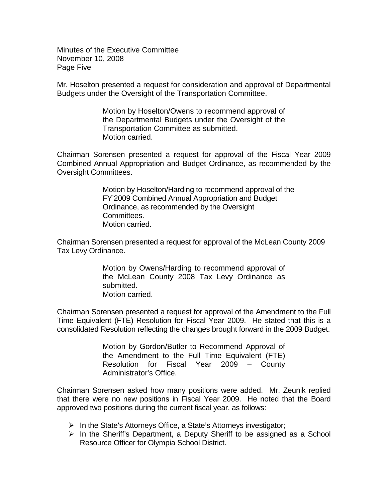Minutes of the Executive Committee November 10, 2008 Page Five

Mr. Hoselton presented a request for consideration and approval of Departmental Budgets under the Oversight of the Transportation Committee.

> Motion by Hoselton/Owens to recommend approval of the Departmental Budgets under the Oversight of the Transportation Committee as submitted. Motion carried.

Chairman Sorensen presented a request for approval of the Fiscal Year 2009 Combined Annual Appropriation and Budget Ordinance, as recommended by the Oversight Committees.

> Motion by Hoselton/Harding to recommend approval of the FY'2009 Combined Annual Appropriation and Budget Ordinance, as recommended by the Oversight Committees. Motion carried.

Chairman Sorensen presented a request for approval of the McLean County 2009 Tax Levy Ordinance.

> Motion by Owens/Harding to recommend approval of the McLean County 2008 Tax Levy Ordinance as submitted. Motion carried.

Chairman Sorensen presented a request for approval of the Amendment to the Full Time Equivalent (FTE) Resolution for Fiscal Year 2009. He stated that this is a consolidated Resolution reflecting the changes brought forward in the 2009 Budget.

> Motion by Gordon/Butler to Recommend Approval of the Amendment to the Full Time Equivalent (FTE) Resolution for Fiscal Year 2009 – County Administrator's Office.

Chairman Sorensen asked how many positions were added. Mr. Zeunik replied that there were no new positions in Fiscal Year 2009. He noted that the Board approved two positions during the current fiscal year, as follows:

- $\triangleright$  In the State's Attorneys Office, a State's Attorneys investigator;
- $\triangleright$  In the Sheriff's Department, a Deputy Sheriff to be assigned as a School Resource Officer for Olympia School District.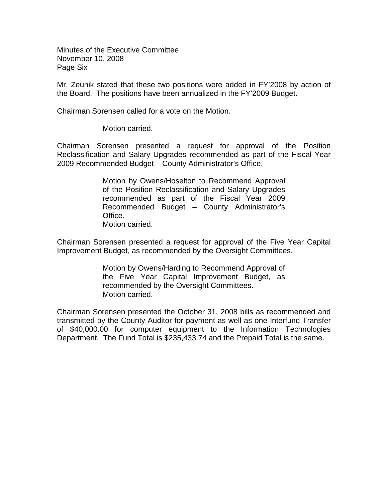Minutes of the Executive Committee November 10, 2008 Page Six

Mr. Zeunik stated that these two positions were added in FY'2008 by action of the Board. The positions have been annualized in the FY'2009 Budget.

Chairman Sorensen called for a vote on the Motion.

Motion carried.

Chairman Sorensen presented a request for approval of the Position Reclassification and Salary Upgrades recommended as part of the Fiscal Year 2009 Recommended Budget – County Administrator's Office.

> Motion by Owens/Hoselton to Recommend Approval of the Position Reclassification and Salary Upgrades recommended as part of the Fiscal Year 2009 Recommended Budget – County Administrator's Office. Motion carried.

Chairman Sorensen presented a request for approval of the Five Year Capital Improvement Budget, as recommended by the Oversight Committees.

> Motion by Owens/Harding to Recommend Approval of the Five Year Capital Improvement Budget, as recommended by the Oversight Committees. Motion carried.

Chairman Sorensen presented the October 31, 2008 bills as recommended and transmitted by the County Auditor for payment as well as one Interfund Transfer of \$40,000.00 for computer equipment to the Information Technologies Department. The Fund Total is \$235,433.74 and the Prepaid Total is the same.